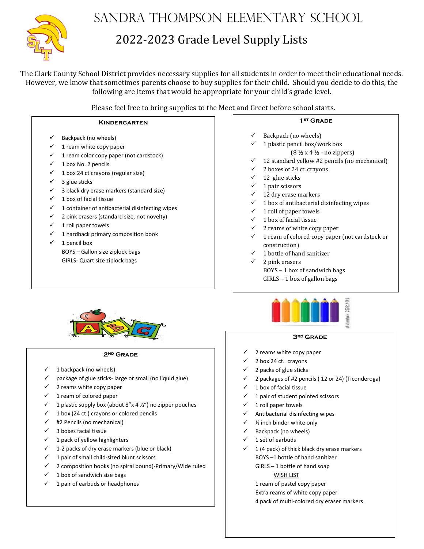

# Sandra Thompson Elementary School

# 2022-2023 Grade Level Supply Lists

The Clark County School District provides necessary supplies for all students in order to meet their educational needs. However, we know that sometimes parents choose to buy supplies for their child. Should you decide to do this, the following are items that would be appropriate for your child's grade level.

Please feel free to bring supplies to the Meet and Greet before school starts.

#### **Kindergarten**

- Backpack (no wheels)
- 1 ream white copy paper
- $\checkmark$  1 ream color copy paper (not cardstock)
- $\checkmark$  1 box No. 2 pencils
- $\checkmark$  1 box 24 ct crayons (regular size)
- $\checkmark$  3 glue sticks
- $\checkmark$  3 black dry erase markers (standard size)
- $\checkmark$  1 box of facial tissue
- $\checkmark$  1 container of antibacterial disinfecting wipes
- $\checkmark$  2 pink erasers (standard size, not novelty)
- $\checkmark$  1 roll paper towels
- $\checkmark$  1 hardback primary composition book
- $\checkmark$  1 pencil box BOYS – Gallon size ziplock bags GIRLS- Quart size ziplock bags



#### **2nd Grade**

- 1 backpack (no wheels)
- $\checkmark$  package of glue sticks-large or small (no liquid glue)
- $\checkmark$  2 reams white copy paper
- $\checkmark$  1 ream of colored paper
- 1 plastic supply box (about  $8''$ x 4  $\frac{1}{2}''$ ) no zipper pouches
- 1 box (24 ct.) crayons or colored pencils
- $\checkmark$  #2 Pencils (no mechanical)
- $\checkmark$  3 boxes facial tissue
- $\checkmark$  1 pack of yellow highlighters
- $\checkmark$  1-2 packs of dry erase markers (blue or black)
- 1 pair of small child-sized blunt scissors
- 2 composition books (no spiral bound)-Primary/Wide ruled
- $\checkmark$  1 box of sandwich size bags
- 1 pair of earbuds or headphones

### **1st Grade**

- Backpack (no wheels)
- 1 plastic pencil box/work box
	- $(8 \frac{1}{2} \times 4 \frac{1}{2} \cdot \text{no zippers})$
- $\checkmark$  12 standard yellow #2 pencils (no mechanical)
- 2 boxes of 24 ct. crayons
- $\checkmark$  12 glue sticks<br> $\checkmark$  1 nair scissors
- 1 pair scissors
- 12 dry erase markers
- $\checkmark$  1 box of antibacterial disinfecting wipes
- $\checkmark$  1 roll of paper towels
- 1 box of facial tissue
- $\checkmark$  2 reams of white copy paper
- $\checkmark$  1 ream of colored copy paper (not cardstock or construction)
- 1 bottle of hand sanitizer
- 2 pink erasers BOYS – 1 box of sandwich bags GIRLS – 1 box of gallon bags



#### **3rd Grade**

- 2 reams white copy paper
- 2 box 24 ct. crayons
- 2 packs of glue sticks
- 2 packages of #2 pencils ( 12 or 24) (Ticonderoga)
- $\checkmark$  1 box of facial tissue
- 1 pair of student pointed scissors
- 1 roll paper towels
- Antibacterial disinfecting wipes
- $\checkmark$  % inch binder white only
- $\checkmark$  Backpack (no wheels)
- 1 set of earbuds
- $\checkmark$  1 (4 pack) of thick black dry erase markers
	- BOYS –1 bottle of hand sanitizer
	- GIRLS 1 bottle of hand soap
		- WISH LIST
	- 1 ream of pastel copy paper
	- Extra reams of white copy paper 4 pack of multi-colored dry eraser markers